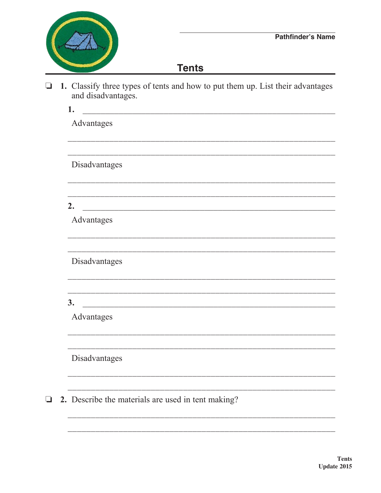

## **Tents**

□ 1. Classify three types of tents and how to put them up. List their advantages and disadvantages.

| 1.            |                                                    |  |  |
|---------------|----------------------------------------------------|--|--|
| Advantages    |                                                    |  |  |
|               |                                                    |  |  |
| Disadvantages |                                                    |  |  |
|               |                                                    |  |  |
|               |                                                    |  |  |
| 2.            |                                                    |  |  |
| Advantages    |                                                    |  |  |
|               |                                                    |  |  |
| Disadvantages |                                                    |  |  |
|               |                                                    |  |  |
|               |                                                    |  |  |
| 3.            |                                                    |  |  |
| Advantages    |                                                    |  |  |
|               |                                                    |  |  |
| Disadvantages |                                                    |  |  |
|               |                                                    |  |  |
|               |                                                    |  |  |
|               | 2. Describe the materials are used in tent making? |  |  |